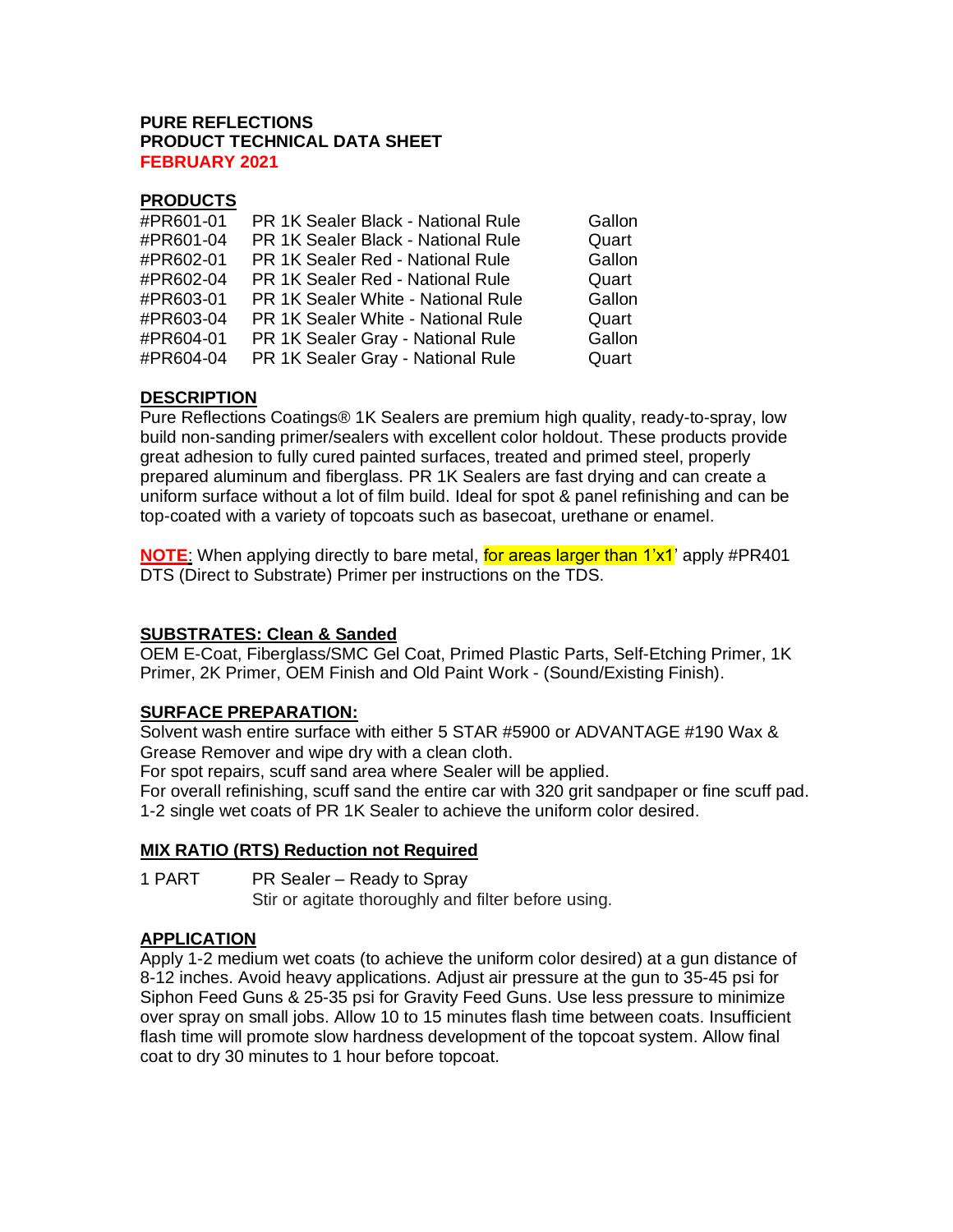#### **PURE REFLECTIONS PRODUCT TECHNICAL DATA SHEET FEBRUARY 2021**

# **PRODUCTS**

| #PR601-01 | PR 1K Sealer Black - National Rule | Gallon |
|-----------|------------------------------------|--------|
| #PR601-04 | PR 1K Sealer Black - National Rule | Quart  |
| #PR602-01 | PR 1K Sealer Red - National Rule   | Gallon |
| #PR602-04 | PR 1K Sealer Red - National Rule   | Quart  |
| #PR603-01 | PR 1K Sealer White - National Rule | Gallon |
| #PR603-04 | PR 1K Sealer White - National Rule | Quart  |
| #PR604-01 | PR 1K Sealer Gray - National Rule  | Gallon |
| #PR604-04 | PR 1K Sealer Gray - National Rule  | Quart  |
|           |                                    |        |

# **DESCRIPTION**

Pure Reflections Coatings® 1K Sealers are premium high quality, ready-to-spray, low build non-sanding primer/sealers with excellent color holdout. These products provide great adhesion to fully cured painted surfaces, treated and primed steel, properly prepared aluminum and fiberglass. PR 1K Sealers are fast drying and can create a uniform surface without a lot of film build. Ideal for spot & panel refinishing and can be top-coated with a variety of topcoats such as basecoat, urethane or enamel.

**NOTE:** When applying directly to bare metal, for areas larger than 1'x1' apply #PR401 DTS (Direct to Substrate) Primer per instructions on the TDS.

### **SUBSTRATES: Clean & Sanded**

OEM E-Coat, Fiberglass/SMC Gel Coat, Primed Plastic Parts, Self-Etching Primer, 1K Primer, 2K Primer, OEM Finish and Old Paint Work - (Sound/Existing Finish).

# **SURFACE PREPARATION:**

Solvent wash entire surface with either 5 STAR #5900 or ADVANTAGE #190 Wax & Grease Remover and wipe dry with a clean cloth.

For spot repairs, scuff sand area where Sealer will be applied.

For overall refinishing, scuff sand the entire car with 320 grit sandpaper or fine scuff pad. 1-2 single wet coats of PR 1K Sealer to achieve the uniform color desired.

### **MIX RATIO (RTS) Reduction not Required**

1 PART PR Sealer – Ready to Spray

Stir or agitate thoroughly and filter before using.

### **APPLICATION**

Apply 1-2 medium wet coats (to achieve the uniform color desired) at a gun distance of 8-12 inches. Avoid heavy applications. Adjust air pressure at the gun to 35-45 psi for Siphon Feed Guns & 25-35 psi for Gravity Feed Guns. Use less pressure to minimize over spray on small jobs. Allow 10 to 15 minutes flash time between coats. Insufficient flash time will promote slow hardness development of the topcoat system. Allow final coat to dry 30 minutes to 1 hour before topcoat.